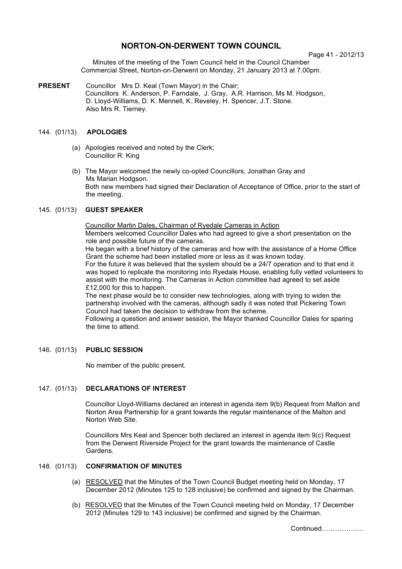# **NORTON-ON-DERWENT TOWN COUNCIL**

Page 41 - 2012/13

Minutes of the meeting of the Town Council held in the Council Chamber Commercial Street, Norton-on-Derwent on Monday, 21 January 2013 at 7.00pm.

**PRESENT** Councillor Mrs D. Keal (Town Mayor) in the Chair; Councillors K. Anderson, P. Farndale, J. Gray, A.R. Harrison, Ms M. Hodgson, D. Lloyd-Williams, D. K. Mennell, K. Reveley, H. Spencer, J.T. Stone. Also Mrs R. Tierney.

# 144. (01/13) **APOLOGIES**

- (a) Apologies received and noted by the Clerk; Councillor R. King
- (b) The Mayor welcomed the newly co-opted Councillors, Jonathan Gray and Ms Marian Hodgson. Both new members had signed their Declaration of Acceptance of Office, prior to the start of the meeting.

### 145. (01/13) **GUEST SPEAKER**

Councillor Martin Dales, Chairman of Ryedale Cameras in Action Members welcomed Councillor Dales who had agreed to give a short presentation on the role and possible future of the cameras.

He began with a brief history of the cameras and how with the assistance of a Home Office Grant the scheme had been installed more or less as it was known today.

For the future it was believed that the system should be a 24/7 operation and to that end it was hoped to replicate the monitoring into Ryedale House, enabling fully vetted volunteers to assist with the monitoring. The Cameras in Action committee had agreed to set aside £12,000 for this to happen.

The next phase would be to consider new technologies, along with trying to widen the partnership involved with the cameras, although sadly it was noted that Pickering Town Council had taken the decision to withdraw from the scheme.

Following a question and answer session, the Mayor thanked Councillor Dales for sparing the time to attend.

# 146. (01/13) **PUBLIC SESSION**

No member of the public present.

### 147. (01/13) **DECLARATIONS OF INTEREST**

 Councillor Lloyd-Williams declared an interest in agenda item 9(b) Request from Malton and Norton Area Partnership for a grant towards the regular maintenance of the Malton and Norton Web Site.

Councillors Mrs Keal and Spencer both declared an interest in agenda item 9(c) Request from the Derwent Riverside Project for the grant towards the maintenance of Castle Gardens.

# 148. (01/13) **CONFIRMATION OF MINUTES**

- (a) RESOLVED that the Minutes of the Town Council Budget meeting held on Monday, 17 December 2012 (Minutes 125 to 128 inclusive) be confirmed and signed by the Chairman.
- (b) RESOLVED that the Minutes of the Town Council meeting held on Monday, 17 December 2012 (Minutes 129 to 143 inclusive) be confirmed and signed by the Chairman.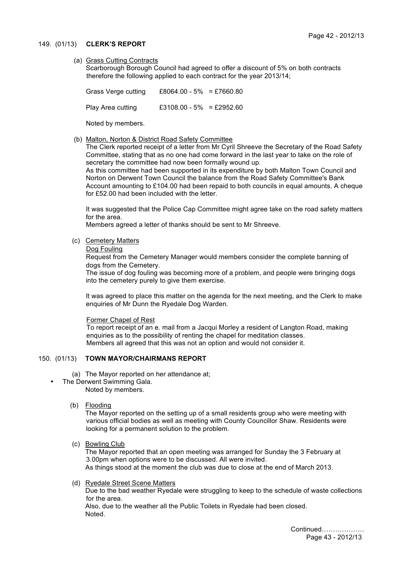#### 149. (01/13) **CLERK'S REPORT**

### (a) Grass Cutting Contracts

Scarborough Borough Council had agreed to offer a discount of 5% on both contracts therefore the following applied to each contract for the year 2013/14;

Grass Verge cutting £8064.00 - 5% = £7660.80 Play Area cutting £3108.00 - 5% = £2952.60

Noted by members.

(b) Malton, Norton & District Road Safety Committee

 The Clerk reported receipt of a letter from Mr Cyril Shreeve the Secretary of the Road Safety Committee, stating that as no one had come forward in the last year to take on the role of secretary the committee had now been formally wound up.

As this committee had been supported in its expenditure by both Malton Town Council and Norton on Derwent Town Council the balance from the Road Safety Committee's Bank Account amounting to £104.00 had been repaid to both councils in equal amounts. A cheque for £52.00 had been included with the letter.

It was suggested that the Police Cap Committee might agree take on the road safety matters for the area.

Members agreed a letter of thanks should be sent to Mr Shreeve.

- (c) Cemetery Matters
	- Dog Fouling

Request from the Cemetery Manager would members consider the complete banning of dogs from the Cemetery.

The issue of dog fouling was becoming more of a problem, and people were bringing dogs into the cemetery purely to give them exercise.

It was agreed to place this matter on the agenda for the next meeting, and the Clerk to make enquiries of Mr Dunn the Ryedale Dog Warden.

### Former Chapel of Rest

To report receipt of an e. mail from a Jacqui Morley a resident of Langton Road, making enquiries as to the possibility of renting the chapel for meditation classes. Members all agreed that this was not an option and would not consider it.

### 150. (01/13) **TOWN MAYOR/CHAIRMANS REPORT**

- (a) The Mayor reported on her attendance at;
- The Derwent Swimming Gala. Noted by members.
	- (b) Flooding

The Mayor reported on the setting up of a small residents group who were meeting with various official bodies as well as meeting with County Councillor Shaw. Residents were looking for a permanent solution to the problem.

(c) Bowling Club

The Mayor reported that an open meeting was arranged for Sunday the 3 February at 3.00pm when options were to be discussed. All were invited. As things stood at the moment the club was due to close at the end of March 2013.

(d) Ryedale Street Scene Matters

Due to the bad weather Ryedale were struggling to keep to the schedule of waste collections for the area.

Also, due to the weather all the Public Toilets in Ryedale had been closed. Noted.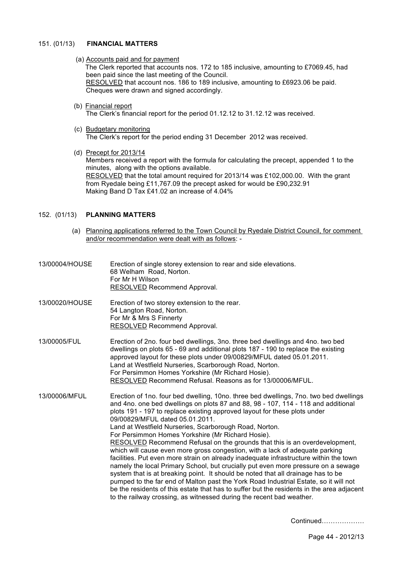#### 151. (01/13) **FINANCIAL MATTERS**

- (a) Accounts paid and for payment The Clerk reported that accounts nos. 172 to 185 inclusive, amounting to £7069.45, had been paid since the last meeting of the Council. RESOLVED that account nos. 186 to 189 inclusive, amounting to £6923.06 be paid. Cheques were drawn and signed accordingly.
- (b) Financial report The Clerk's financial report for the period 01.12.12 to 31.12.12 was received.
- (c) Budgetary monitoring The Clerk's report for the period ending 31 December 2012 was received.
- (d) Precept for 2013/14

 Members received a report with the formula for calculating the precept, appended 1 to the minutes, along with the options available. RESOLVED that the total amount required for 2013/14 was £102,000.00. With the grant from Ryedale being £11,767.09 the precept asked for would be £90,232.91 Making Band D Tax £41.02 an increase of 4.04%

### 152. (01/13) **PLANNING MATTERS**

- (a) Planning applications referred to the Town Council by Ryedale District Council, for comment and/or recommendation were dealt with as follows: -
- 13/00004/HOUSE Erection of single storey extension to rear and side elevations. 68 Welham Road, Norton. For Mr H Wilson RESOLVED Recommend Approval.
- 13/00020/HOUSE Erection of two storey extension to the rear. 54 Langton Road, Norton. For Mr & Mrs S Finnerty RESOLVED Recommend Approval.
- 13/00005/FUL Erection of 2no. four bed dwellings, 3no. three bed dwellings and 4no. two bed dwellings on plots 65 - 69 and additional plots 187 - 190 to replace the existing approved layout for these plots under 09/00829/MFUL dated 05.01.2011. Land at Westfield Nurseries, Scarborough Road, Norton. For Persimmon Homes Yorkshire (Mr Richard Hosie). RESOLVED Recommend Refusal. Reasons as for 13/00006/MFUL.
- 13/00006/MFUL Erection of 1no. four bed dwelling, 10no. three bed dwellings, 7no. two bed dwellings and 4no. one bed dwellings on plots 87 and 88, 98 - 107, 114 - 118 and additional plots 191 - 197 to replace existing approved layout for these plots under 09/00829/MFUL dated 05.01.2011. Land at Westfield Nurseries, Scarborough Road, Norton. For Persimmon Homes Yorkshire (Mr Richard Hosie). RESOLVED Recommend Refusal on the grounds that this is an overdevelopment, which will cause even more gross congestion, with a lack of adequate parking facilities. Put even more strain on already inadequate infrastructure within the town namely the local Primary School, but crucially put even more pressure on a sewage system that is at breaking point. It should be noted that all drainage has to be pumped to the far end of Malton past the York Road Industrial Estate, so it will not be the residents of this estate that has to suffer but the residents in the area adjacent to the railway crossing, as witnessed during the recent bad weather.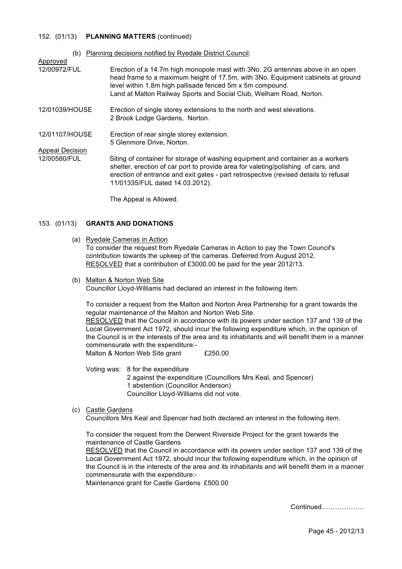#### 152. (01/13) **PLANNING MATTERS** (continued)

| (b)                    | Planning decisions notified by Ryedale District Council:                                                                                                                                                                                                                                             |
|------------------------|------------------------------------------------------------------------------------------------------------------------------------------------------------------------------------------------------------------------------------------------------------------------------------------------------|
| Approved               |                                                                                                                                                                                                                                                                                                      |
| 12/00972/FUL           | Erection of a 14.7m high monopole mast with 3No. 2G antennas above in an open<br>head frame to a maximum height of 17.5m, with 3No. Equipment cabinets at ground<br>level within 1.8m high pallisade fenced 5m x 5m compound.<br>Land at Malton Railway Sports and Social Club, Welham Road, Norton. |
| 12/01039/HOUSE         | Erection of single storey extensions to the north and west elevations.<br>2 Brook Lodge Gardens, Norton.                                                                                                                                                                                             |
| 12/01107/HOUSE         | Erection of rear single storey extension.<br>5 Glenmore Drive, Norton.                                                                                                                                                                                                                               |
| <b>Appeal Decision</b> |                                                                                                                                                                                                                                                                                                      |
| 12/00580/FUL           | Siting of container for storage of washing equipment and container as a workers<br>shelter, erection of car port to provide area for valeting/polishing of cars, and<br>erection of entrance and exit gates - part retrospective (revised details to refusal<br>11/01335/FUL dated 14.03.2012).      |

The Appeal is Allowed.

### 153. (01/13) **GRANTS AND DONATIONS**

(a) Ryedale Cameras in Action

To consider the request from Ryedale Cameras in Action to pay the Town Council's contribution towards the upkeep of the cameras. Deferred from August 2012. RESOLVED that a contribution of £3000.00 be paid for the year 2012/13.

(b) Malton & Norton Web Site

Councillor Lloyd-Williams had declared an interest in the following item.

To consider a request from the Malton and Norton Area Partnership for a grant towards the regular maintenance of the Malton and Norton Web Site. RESOLVED that the Council in accordance with its powers under section 137 and 139 of the Local Government Act 1972, should incur the following expenditure which, in the opinion of the Council is in the interests of the area and its inhabitants and will benefit them in a manner commensurate with the expenditure:-

Malton & Norton Web Site grant £250.00

Voting was: 8 for the expenditure 2 against the expenditure (Councillors Mrs Keal, and Spencer) 1 abstention (Councillor Anderson) Councillor Lloyd-Williams did not vote.

(c) Castle Gardens

Councillors Mrs Keal and Spencer had both declared an interest in the following item.

To consider the request from the Derwent Riverside Project for the grant towards the maintenance of Castle Gardens

RESOLVED that the Council in accordance with its powers under section 137 and 139 of the Local Government Act 1972, should incur the following expenditure which, in the opinion of the Council is in the interests of the area and its inhabitants and will benefit them in a manner commensurate with the expenditure:-

Maintenance grant for Castle Gardens £500.00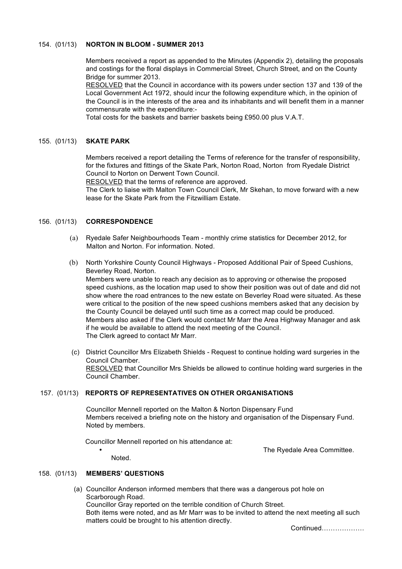### 154. (01/13) **NORTON IN BLOOM - SUMMER 2013**

Members received a report as appended to the Minutes (Appendix 2), detailing the proposals and costings for the floral displays in Commercial Street, Church Street, and on the County Bridge for summer 2013.

RESOLVED that the Council in accordance with its powers under section 137 and 139 of the Local Government Act 1972, should incur the following expenditure which, in the opinion of the Council is in the interests of the area and its inhabitants and will benefit them in a manner commensurate with the expenditure:-

Total costs for the baskets and barrier baskets being £950.00 plus V.A.T.

#### 155. (01/13) **SKATE PARK**

Members received a report detailing the Terms of reference for the transfer of responsibility, for the fixtures and fittings of the Skate Park, Norton Road, Norton from Ryedale District Council to Norton on Derwent Town Council.

RESOLVED that the terms of reference are approved.

The Clerk to liaise with Malton Town Council Clerk, Mr Skehan, to move forward with a new lease for the Skate Park from the Fitzwilliam Estate.

### 156. (01/13) **CORRESPONDENCE**

- (a) Ryedale Safer Neighbourhoods Team monthly crime statistics for December 2012, for Malton and Norton. For information. Noted.
- (b) North Yorkshire County Council Highways Proposed Additional Pair of Speed Cushions, Beverley Road, Norton.

Members were unable to reach any decision as to approving or otherwise the proposed speed cushions, as the location map used to show their position was out of date and did not show where the road entrances to the new estate on Beverley Road were situated. As these were critical to the position of the new speed cushions members asked that any decision by the County Council be delayed until such time as a correct map could be produced. Members also asked if the Clerk would contact Mr Marr the Area Highway Manager and ask if he would be available to attend the next meeting of the Council. The Clerk agreed to contact Mr Marr.

 (c) District Councillor Mrs Elizabeth Shields - Request to continue holding ward surgeries in the Council Chamber. RESOLVED that Councillor Mrs Shields be allowed to continue holding ward surgeries in the Council Chamber.

### 157. (01/13) **REPORTS OF REPRESENTATIVES ON OTHER ORGANISATIONS**

Councillor Mennell reported on the Malton & Norton Dispensary Fund Members received a briefing note on the history and organisation of the Dispensary Fund. Noted by members.

Councillor Mennell reported on his attendance at:

The Ryedale Area Committee.

Noted.

### 158. (01/13) **MEMBERS' QUESTIONS**

 (a) Councillor Anderson informed members that there was a dangerous pot hole on Scarborough Road.

Councillor Gray reported on the terrible condition of Church Street.

Both items were noted, and as Mr Marr was to be invited to attend the next meeting all such matters could be brought to his attention directly.